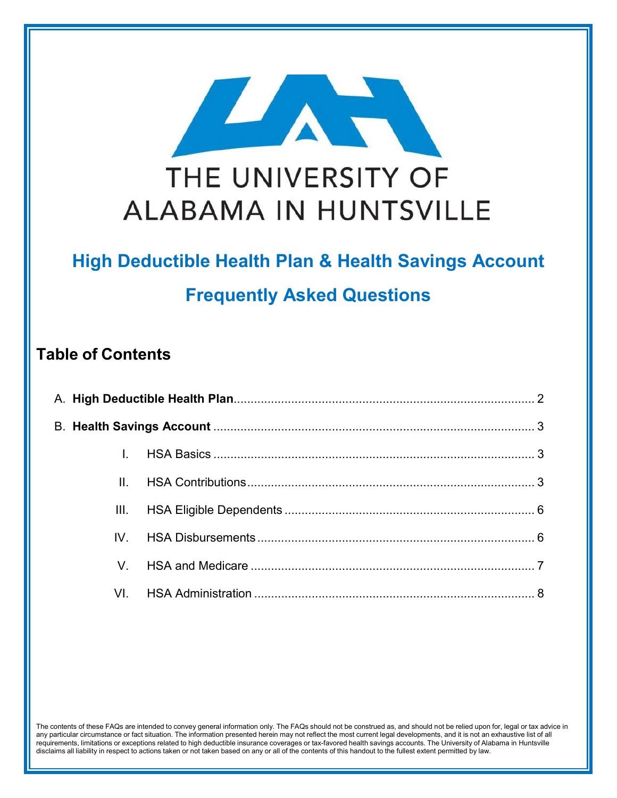

# **High Deductible Health Plan & Health Savings Account Frequently Asked Questions**

### **Table of Contents**

| $\mathbf{II}$ . |  |  |  |  |
|-----------------|--|--|--|--|
| III.            |  |  |  |  |
| $IV_{-}$        |  |  |  |  |
|                 |  |  |  |  |
| VL.             |  |  |  |  |

The contents of these FAQs are intended to convey general information only. The FAQs should not be construed as, and should not be relied upon for, legal or tax advice in any particular circumstance or fact situation. The information presented herein may not reflect the most current legal developments, and it is not an exhaustive list of all requirements, limitations or exceptions related to high deductible insurance coverages or tax-favored health savings accounts. The University of Alabama in Huntsville disclaims all liability in respect to actions taken or not taken based on any or all of the contents of this handout to the fullest extent permitted by law.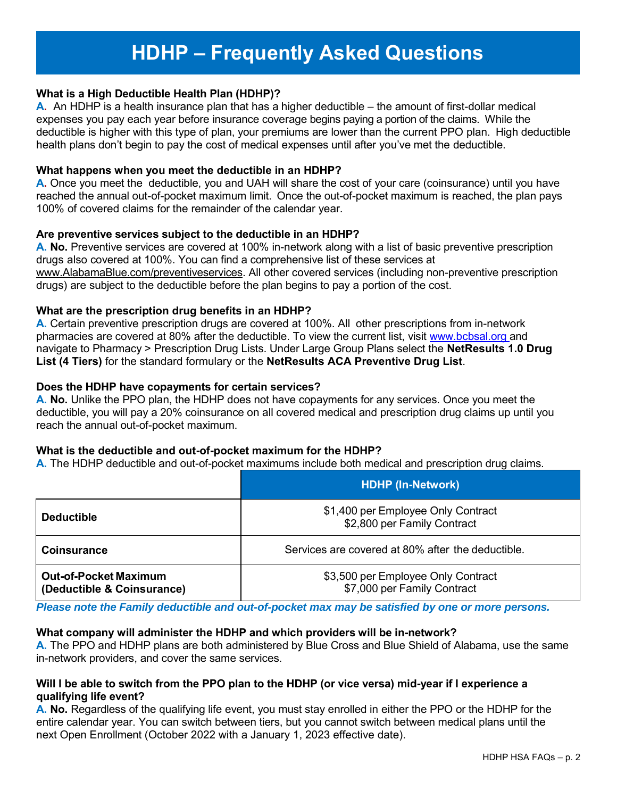## **HDHP – Frequently Asked Questions**

#### **What is a High Deductible Health Plan (HDHP)?**

**A.** An HDHP is a health insurance plan that has a higher deductible – the amount of first-dollar medical expenses you pay each year before insurance coverage begins paying a portion of the claims. While the deductible is higher with this type of plan, your premiums are lower than the current PPO plan. High deductible health plans don't begin to pay the cost of medical expenses until after you've met the deductible.

#### **What happens when you meet the deductible in an HDHP?**

**A.** Once you meet the deductible, you and UAH will share the cost of your care (coinsurance) until you have reached the annual out-of-pocket maximum limit. Once the out-of-pocket maximum is reached, the plan pays 100% of covered claims for the remainder of the calendar year.

#### **Are preventive services subject to the deductible in an HDHP?**

**A. No.** Preventive services are covered at 100% in-network along with a list of basic preventive prescription drugs also covered at 100%. You can find a comprehensive list of these services at www.AlabamaBlue.com/preventiveservices. All other covered services (including non-preventive prescription drugs) are subject to the deductible before the plan begins to pay a portion of the cost.

#### **What are the prescription drug benefits in an HDHP?**

**A.** Certain preventive prescription drugs are covered at 100%. All other prescriptions from in-network pharmacies are covered at 80% after the deductible. To view the current list, visit www.bcbsal.org and navigate to Pharmacy > Prescription Drug Lists. Under Large Group Plans select the **NetResults 1.0 Drug List (4 Tiers)** for the standard formulary or the **NetResults ACA Preventive Drug List**.

#### **Does the HDHP have copayments for certain services?**

**A. No.** Unlike the PPO plan, the HDHP does not have copayments for any services. Once you meet the deductible, you will pay a 20% coinsurance on all covered medical and prescription drug claims up until you reach the annual out-of-pocket maximum.

#### **What is the deductible and out-of-pocket maximum for the HDHP?**

**A.** The HDHP deductible and out-of-pocket maximums include both medical and prescription drug claims.

|                                                            | <b>HDHP (In-Network)</b>                                          |  |
|------------------------------------------------------------|-------------------------------------------------------------------|--|
| <b>Deductible</b>                                          | \$1,400 per Employee Only Contract<br>\$2,800 per Family Contract |  |
| <b>Coinsurance</b>                                         | Services are covered at 80% after the deductible.                 |  |
| <b>Out-of-Pocket Maximum</b><br>(Deductible & Coinsurance) | \$3,500 per Employee Only Contract<br>\$7,000 per Family Contract |  |

*Please note the Family deductible and out-of-pocket max may be satisfied by one or more persons.*

#### **What company will administer the HDHP and which providers will be in-network?**

**A.** The PPO and HDHP plans are both administered by Blue Cross and Blue Shield of Alabama, use the same in-network providers, and cover the same services.

#### **Will I be able to switch from the PPO plan to the HDHP (or vice versa) mid-year if I experience a qualifying life event?**

**A. No.** Regardless of the qualifying life event, you must stay enrolled in either the PPO or the HDHP for the entire calendar year. You can switch between tiers, but you cannot switch between medical plans until the next Open Enrollment (October 2022 with a January 1, 2023 effective date).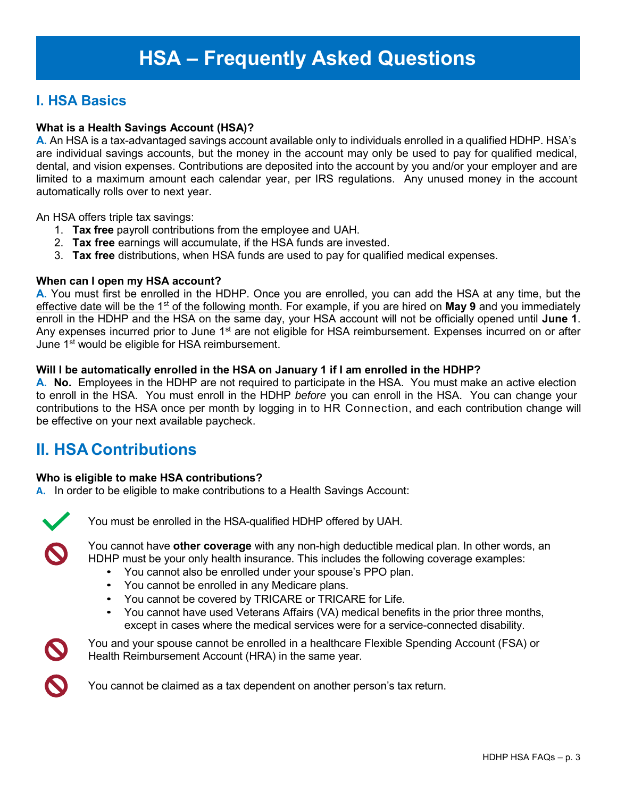### **I. HSA Basics**

#### **What is a Health Savings Account (HSA)?**

**A.** An HSA is a tax-advantaged savings account available only to individuals enrolled in a qualified HDHP. HSA's are individual savings accounts, but the money in the account may only be used to pay for qualified medical, dental, and vision expenses. Contributions are deposited into the account by you and/or your employer and are limited to a maximum amount each calendar year, per IRS regulations. Any unused money in the account automatically rolls over to next year.

An HSA offers triple tax savings:

- 1. **Tax free** payroll contributions from the employee and UAH.
- 2. **Tax free** earnings will accumulate, if the HSA funds are invested.
- 3. **Tax free** distributions, when HSA funds are used to pay for qualified medical expenses.

#### **When can I open my HSA account?**

**A.** You must first be enrolled in the HDHP. Once you are enrolled, you can add the HSA at any time, but the effective date will be the 1st of the following month. For example, if you are hired on **May 9** and you immediately enroll in the HDHP and the HSA on the same day, your HSA account will not be officially opened until **June 1**. Any expenses incurred prior to June 1<sup>st</sup> are not eligible for HSA reimbursement. Expenses incurred on or after June 1<sup>st</sup> would be eligible for HSA reimbursement.

#### **Will I be automatically enrolled in the HSA on January 1 if I am enrolled in the HDHP?**

**A. No.** Employees in the HDHP are not required to participate in the HSA. You must make an active election to enroll in the HSA. You must enroll in the HDHP *before* you can enroll in the HSA. You can change your contributions to the HSA once per month by logging in to HR Connection, and each contribution change will be effective on your next available paycheck.

### **II. HSA Contributions**

#### **Who is eligible to make HSA contributions?**

**A.** In order to be eligible to make contributions to a Health Savings Account:



You must be enrolled in the HSA-qualified HDHP offered by UAH.



You cannot have **other coverage** with any non-high deductible medical plan. In other words, an HDHP must be your only health insurance. This includes the following coverage examples:

- You cannot also be enrolled under your spouse's PPO plan.
- You cannot be enrolled in any Medicare plans.
- You cannot be covered by TRICARE or TRICARE for Life.
- You cannot have used Veterans Affairs (VA) medical benefits in the prior three months, except in cases where the medical services were for a service-connected disability.



You and your spouse cannot be enrolled in a healthcare Flexible Spending Account (FSA) or Health Reimbursement Account (HRA) in the same year.



You cannot be claimed as a tax dependent on another person's tax return.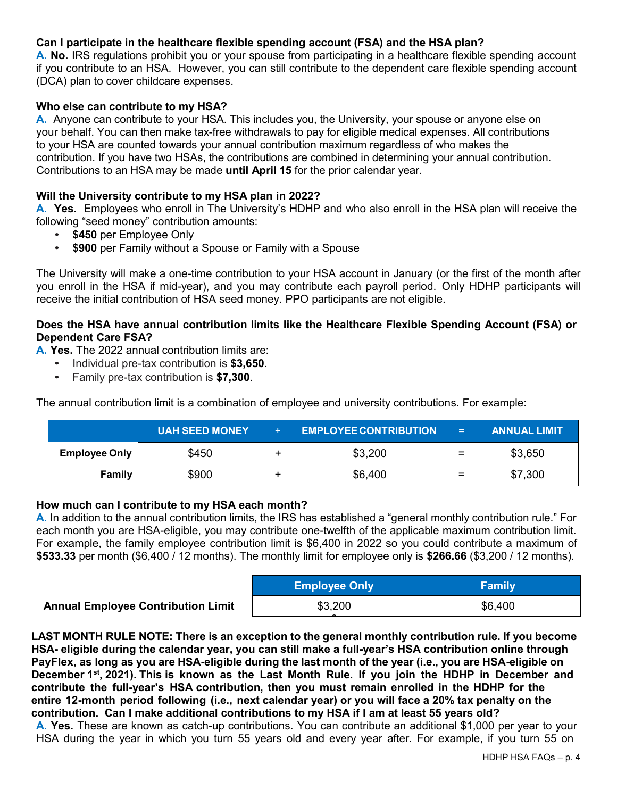#### **Can I participate in the healthcare flexible spending account (FSA) and the HSA plan?**

**A. No.** IRS regulations prohibit you or your spouse from participating in a healthcare flexible spending account if you contribute to an HSA. However, you can still contribute to the dependent care flexible spending account (DCA) plan to cover childcare expenses.

#### **Who else can contribute to my HSA?**

**A.** Anyone can contribute to your HSA. This includes you, the University, your spouse or anyone else on your behalf. You can then make tax-free withdrawals to pay for eligible medical expenses. All contributions to your HSA are counted towards your annual contribution maximum regardless of who makes the contribution. If you have two HSAs, the contributions are combined in determining your annual contribution. Contributions to an HSA may be made **until April 15** for the prior calendar year.

#### **Will the University contribute to my HSA plan in 2022?**

**A. Yes.** Employees who enroll in The University's HDHP and who also enroll in the HSA plan will receive the following "seed money" contribution amounts:

- **\$450** per Employee Only
- **\$900** per Family without a Spouse or Family with a Spouse

The University will make a one-time contribution to your HSA account in January (or the first of the month after you enroll in the HSA if mid-year), and you may contribute each payroll period. Only HDHP participants will receive the initial contribution of HSA seed money. PPO participants are not eligible.

#### **Does the HSA have annual contribution limits like the Healthcare Flexible Spending Account (FSA) or Dependent Care FSA?**

**A. Yes.** The 2022 annual contribution limits are:

- Individual pre-tax contribution is **\$3,650**.
- Family pre-tax contribution is **\$7,300**.

The annual contribution limit is a combination of employee and university contributions. For example:

|                      | <b>UAH SEED MONEY</b> | $+$ | <b>EMPLOYEE CONTRIBUTION</b> | $\sim$ $=$ $\sim$ | <b>ANNUAL LIMIT</b> |
|----------------------|-----------------------|-----|------------------------------|-------------------|---------------------|
| <b>Employee Only</b> | \$450                 |     | \$3,200                      | $\equiv$          | \$3,650             |
| <b>Family</b>        | \$900                 |     | \$6,400                      | $\equiv$          | \$7,300             |

#### **How much can I contribute to my HSA each month?**

**A.** In addition to the annual contribution limits, the IRS has established a "general monthly contribution rule." For each month you are HSA-eligible, you may contribute one-twelfth of the applicable maximum contribution limit. For example, the family employee contribution limit is \$6,400 in 2022 so you could contribute a maximum of **\$533.33** per month (\$6,400 / 12 months). The monthly limit for employee only is **\$266.66** (\$3,200 / 12 months).

|                                           | <b>Employee Only</b> | <b>Family</b> |
|-------------------------------------------|----------------------|---------------|
| <b>Annual Employee Contribution Limit</b> | \$3,200              | \$6,400       |
|                                           |                      |               |

**LAST MONTH RULE NOTE: There is an exception to the general monthly contribution rule. If you become HSA- eligible during the calendar year, you can still make a full-year's HSA contribution online through PayFlex, as long as you are HSA-eligible during the last month of the year (i.e., you are HSA-eligible on December 1st, 2021). This is known as the Last Month Rule. If you join the HDHP in December and contribute the full-year's HSA contribution, then you must remain enrolled in the HDHP for the entire 12-month period following (i.e., next calendar year) or you will face a 20% tax penalty on the contribution. Can I make additional contributions to my HSA if I am at least 55 years old?**

**A. Yes.** These are known as catch-up contributions. You can contribute an additional \$1,000 per year to your HSA during the year in which you turn 55 years old and every year after. For example, if you turn 55 on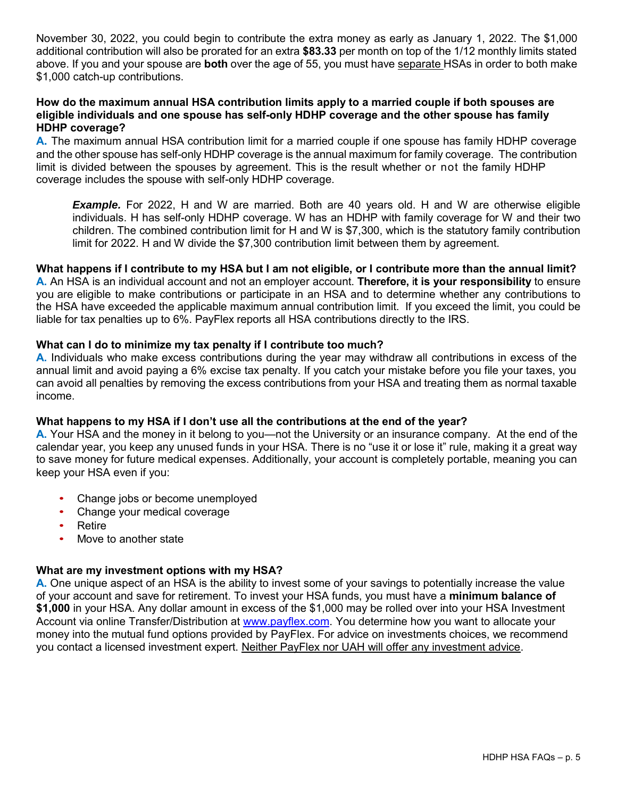November 30, 2022, you could begin to contribute the extra money as early as January 1, 2022. The \$1,000 additional contribution will also be prorated for an extra **\$83.33** per month on top of the 1/12 monthly limits stated above. If you and your spouse are **both** over the age of 55, you must have separate HSAs in order to both make \$1,000 catch-up contributions.

#### **How do the maximum annual HSA contribution limits apply to a married couple if both spouses are eligible individuals and one spouse has self-only HDHP coverage and the other spouse has family HDHP coverage?**

**A.** The maximum annual HSA contribution limit for a married couple if one spouse has family HDHP coverage and the other spouse has self-only HDHP coverage is the annual maximum for family coverage. The contribution limit is divided between the spouses by agreement. This is the result whether or not the family HDHP coverage includes the spouse with self-only HDHP coverage.

**Example.** For 2022, H and W are married. Both are 40 years old. H and W are otherwise eligible individuals. H has self-only HDHP coverage. W has an HDHP with family coverage for W and their two children. The combined contribution limit for H and W is \$7,300, which is the statutory family contribution limit for 2022. H and W divide the \$7,300 contribution limit between them by agreement.

#### **What happens if I contribute to my HSA but I am not eligible, or I contribute more than the annual limit?**

**A.** An HSA is an individual account and not an employer account. **Therefore,** i**t is your responsibility** to ensure you are eligible to make contributions or participate in an HSA and to determine whether any contributions to the HSA have exceeded the applicable maximum annual contribution limit. If you exceed the limit, you could be liable for tax penalties up to 6%. PayFlex reports all HSA contributions directly to the IRS.

#### **What can I do to minimize my tax penalty if I contribute too much?**

**A.** Individuals who make excess contributions during the year may withdraw all contributions in excess of the annual limit and avoid paying a 6% excise tax penalty. If you catch your mistake before you file your taxes, you can avoid all penalties by removing the excess contributions from your HSA and treating them as normal taxable income.

#### **What happens to my HSA if I don't use all the contributions at the end of the year?**

**A.** Your HSA and the money in it belong to you—not the University or an insurance company. At the end of the calendar year, you keep any unused funds in your HSA. There is no "use it or lose it" rule, making it a great way to save money for future medical expenses. Additionally, your account is completely portable, meaning you can keep your HSA even if you:

- Change jobs or become unemployed
- Change your medical coverage
- Retire
- Move to another state

#### **What are my investment options with my HSA?**

**A.** One unique aspect of an HSA is the ability to invest some of your savings to potentially increase the value of your account and save for retirement. To invest your HSA funds, you must have a **minimum balance of \$1,000** in your HSA. Any dollar amount in excess of the \$1,000 may be rolled over into your HSA Investment Account via online Transfer/Distribution at www.payflex.com. You determine how you want to allocate your money into the mutual fund options provided by PayFlex. For advice on investments choices, we recommend you contact a licensed investment expert. Neither PayFlex nor UAH will offer any investment advice.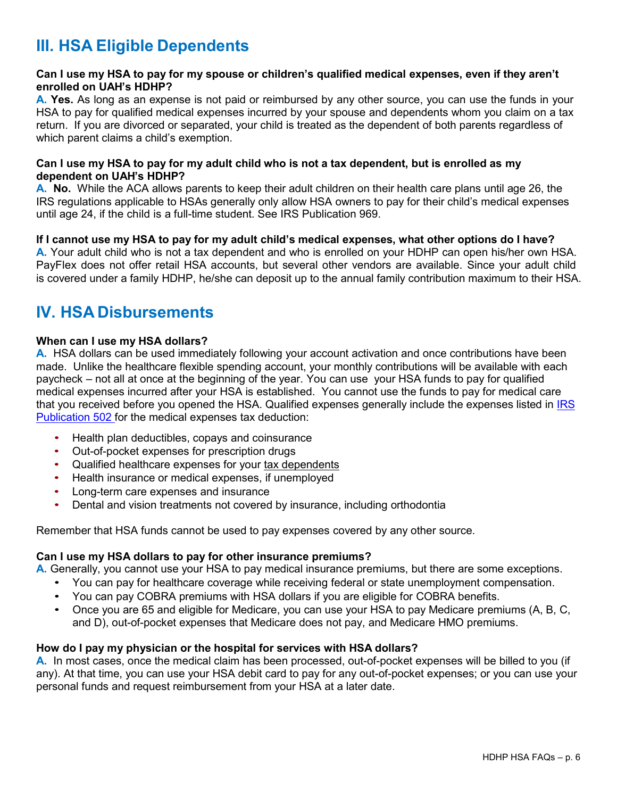### **III. HSA Eligible Dependents**

#### **Can I use my HSA to pay for my spouse or children's qualified medical expenses, even if they aren't enrolled on UAH's HDHP?**

**A. Yes.** As long as an expense is not paid or reimbursed by any other source, you can use the funds in your HSA to pay for qualified medical expenses incurred by your spouse and dependents whom you claim on a tax return. If you are divorced or separated, your child is treated as the dependent of both parents regardless of which parent claims a child's exemption.

#### **Can I use my HSA to pay for my adult child who is not a tax dependent, but is enrolled as my dependent on UAH's HDHP?**

**A. No.** While the ACA allows parents to keep their adult children on their health care plans until age 26, the IRS regulations applicable to HSAs generally only allow HSA owners to pay for their child's medical expenses until age 24, if the child is a full-time student. See IRS Publication 969.

#### **If I cannot use my HSA to pay for my adult child's medical expenses, what other options do I have? A.** Your adult child who is not a tax dependent and who is enrolled on your HDHP can open his/her own HSA. PayFlex does not offer retail HSA accounts, but several other vendors are available. Since your adult child is covered under a family HDHP, he/she can deposit up to the annual family contribution maximum to their HSA.

### **IV. HSA Disbursements**

#### **When can I use my HSA dollars?**

**A.** HSA dollars can be used immediately following your account activation and once contributions have been made. Unlike the healthcare flexible spending account, your monthly contributions will be available with each paycheck – not all at once at the beginning of the year. You can use your HSA funds to pay for qualified medical expenses incurred after your HSA is established. You cannot use the funds to pay for medical care that you received before you opened the HSA. Qualified expenses generally include the expenses listed in IRS Publication 502 for the medical expenses tax deduction:

- Health plan deductibles, copays and coinsurance
- Out-of-pocket expenses for prescription drugs
- Qualified healthcare expenses for your tax dependents
- Health insurance or medical expenses, if unemployed
- Long-term care expenses and insurance
- Dental and vision treatments not covered by insurance, including orthodontia

Remember that HSA funds cannot be used to pay expenses covered by any other source.

#### **Can I use my HSA dollars to pay for other insurance premiums?**

**A.** Generally, you cannot use your HSA to pay medical insurance premiums, but there are some exceptions.

- You can pay for healthcare coverage while receiving federal or state unemployment compensation.
- You can pay COBRA premiums with HSA dollars if you are eligible for COBRA benefits.
- Once you are 65 and eligible for Medicare, you can use your HSA to pay Medicare premiums (A, B, C, and D), out-of-pocket expenses that Medicare does not pay, and Medicare HMO premiums.

#### **How do I pay my physician or the hospital for services with HSA dollars?**

**A.** In most cases, once the medical claim has been processed, out-of-pocket expenses will be billed to you (if any). At that time, you can use your HSA debit card to pay for any out-of-pocket expenses; or you can use your personal funds and request reimbursement from your HSA at a later date.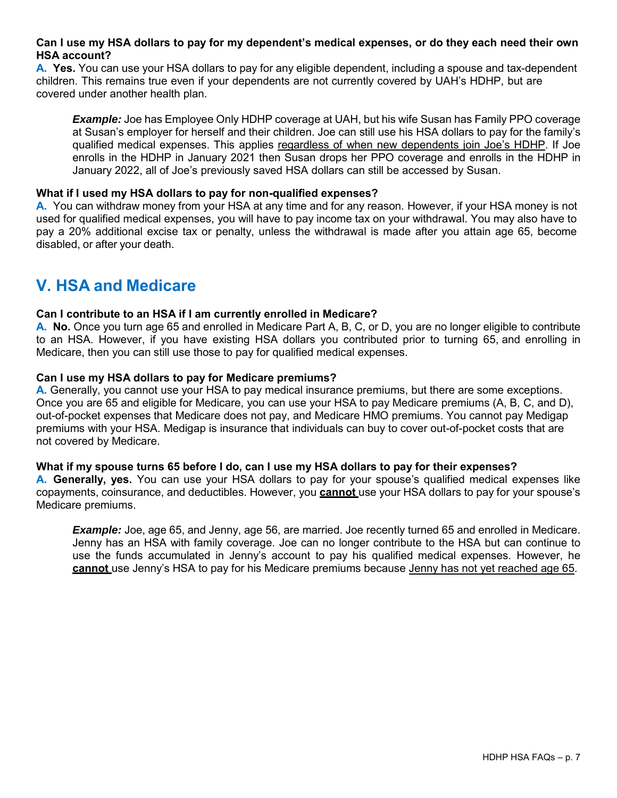#### **Can I use my HSA dollars to pay for my dependent's medical expenses, or do they each need their own HSA account?**

**A. Yes.** You can use your HSA dollars to pay for any eligible dependent, including a spouse and tax-dependent children. This remains true even if your dependents are not currently covered by UAH's HDHP, but are covered under another health plan.

*Example:* Joe has Employee Only HDHP coverage at UAH, but his wife Susan has Family PPO coverage at Susan's employer for herself and their children. Joe can still use his HSA dollars to pay for the family's qualified medical expenses. This applies regardless of when new dependents join Joe's HDHP. If Joe enrolls in the HDHP in January 2021 then Susan drops her PPO coverage and enrolls in the HDHP in January 2022, all of Joe's previously saved HSA dollars can still be accessed by Susan.

#### **What if I used my HSA dollars to pay for non-qualified expenses?**

**A.** You can withdraw money from your HSA at any time and for any reason. However, if your HSA money is not used for qualified medical expenses, you will have to pay income tax on your withdrawal. You may also have to pay a 20% additional excise tax or penalty, unless the withdrawal is made after you attain age 65, become disabled, or after your death.

### **V. HSA and Medicare**

#### **Can I contribute to an HSA if I am currently enrolled in Medicare?**

**A. No.** Once you turn age 65 and enrolled in Medicare Part A, B, C, or D, you are no longer eligible to contribute to an HSA. However, if you have existing HSA dollars you contributed prior to turning 65, and enrolling in Medicare, then you can still use those to pay for qualified medical expenses.

#### **Can I use my HSA dollars to pay for Medicare premiums?**

**A.** Generally, you cannot use your HSA to pay medical insurance premiums, but there are some exceptions. Once you are 65 and eligible for Medicare, you can use your HSA to pay Medicare premiums (A, B, C, and D), out-of-pocket expenses that Medicare does not pay, and Medicare HMO premiums. You cannot pay Medigap premiums with your HSA. Medigap is insurance that individuals can buy to cover out-of-pocket costs that are not covered by Medicare.

#### **What if my spouse turns 65 before I do, can I use my HSA dollars to pay for their expenses?**

**A. Generally, yes.** You can use your HSA dollars to pay for your spouse's qualified medical expenses like copayments, coinsurance, and deductibles. However, you **cannot** use your HSA dollars to pay for your spouse's Medicare premiums.

**Example:** Joe, age 65, and Jenny, age 56, are married. Joe recently turned 65 and enrolled in Medicare. Jenny has an HSA with family coverage. Joe can no longer contribute to the HSA but can continue to use the funds accumulated in Jenny's account to pay his qualified medical expenses. However, he **cannot** use Jenny's HSA to pay for his Medicare premiums because Jenny has not yet reached age 65.